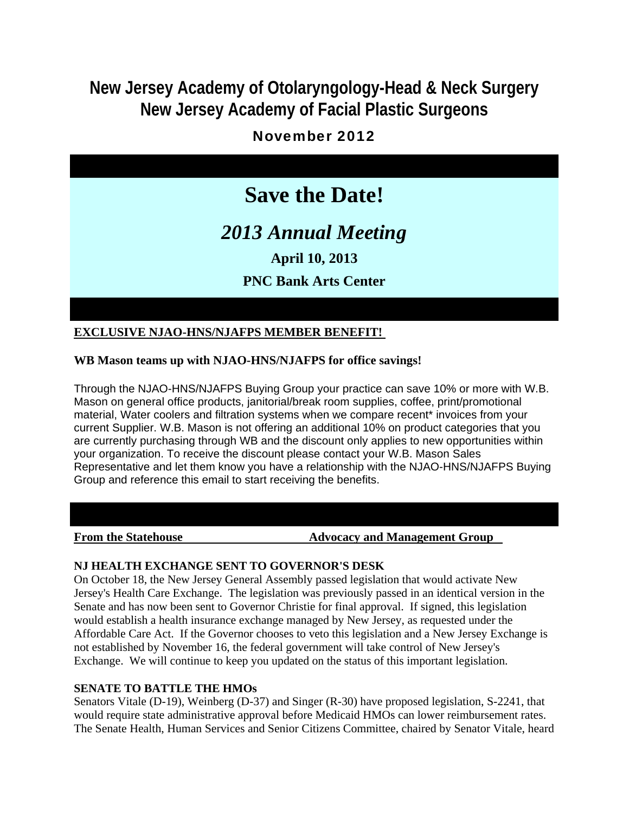## **New Jersey Academy of Otolaryngology-Head & Neck Surgery New Jersey Academy of Facial Plastic Surgeons**

## November 2012

# **Save the Date!**

# *2013 Annual Meeting*

**April 10, 2013**

## **PNC Bank Arts Center**

### **EXCLUSIVE NJAO-HNS/NJAFPS MEMBER BENEFIT!**

#### **WB Mason teams up with NJAO-HNS/NJAFPS for office savings!**

Through the NJAO-HNS/NJAFPS Buying Group your practice can save 10% or more with W.B. Mason on general office products, janitorial/break room supplies, coffee, print/promotional material, Water coolers and filtration systems when we compare recent\* invoices from your current Supplier. W.B. Mason is not offering an additional 10% on product categories that you are currently purchasing through WB and the discount only applies to new opportunities within your organization. To receive the discount please contact your W.B. Mason Sales Representative and let them know you have a relationship with the NJAO-HNS/NJAFPS Buying Group and reference this email to start receiving the benefits.

#### **From the Statehouse The Statehouse Advocacy and Management Group**

#### **NJ HEALTH EXCHANGE SENT TO GOVERNOR'S DESK**

On October 18, the New Jersey General Assembly passed legislation that would activate New Jersey's Health Care Exchange. The legislation was previously passed in an identical version in the Senate and has now been sent to Governor Christie for final approval. If signed, this legislation would establish a health insurance exchange managed by New Jersey, as requested under the Affordable Care Act. If the Governor chooses to veto this legislation and a New Jersey Exchange is not established by November 16, the federal government will take control of New Jersey's Exchange. We will continue to keep you updated on the status of this important legislation.

#### **SENATE TO BATTLE THE HMOs**

Senators Vitale (D-19), Weinberg (D-37) and Singer (R-30) have proposed legislation, S-2241, that would require state administrative approval before Medicaid HMOs can lower reimbursement rates. The Senate Health, Human Services and Senior Citizens Committee, chaired by Senator Vitale, heard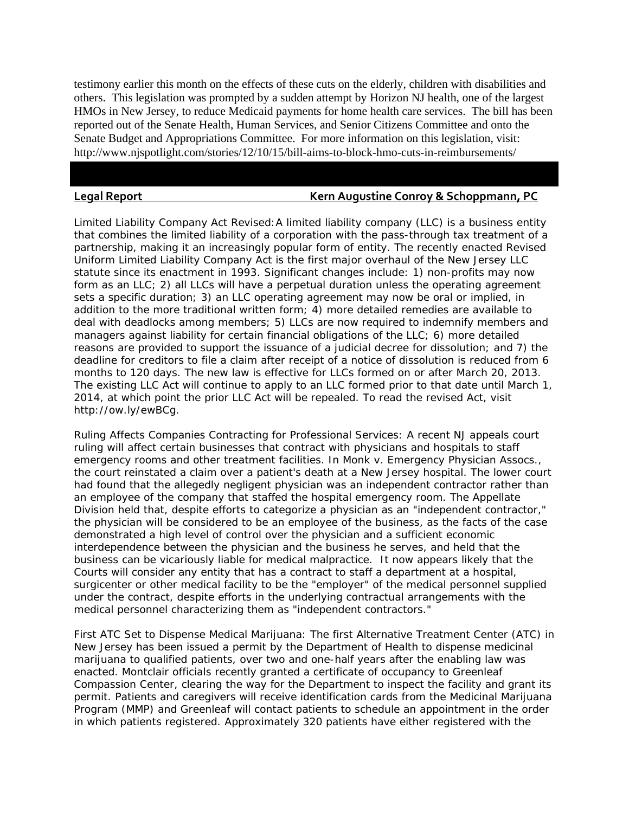testimony earlier this month on the effects of these cuts on the elderly, children with disabilities and others. This legislation was prompted by a sudden attempt by Horizon NJ health, one of the largest HMOs in New Jersey, to reduce Medicaid payments for home health care services. The bill has been reported out of the Senate Health, Human Services, and Senior Citizens Committee and onto the Senate Budget and Appropriations Committee. For more information on this legislation, visit: http://www.njspotlight.com/stories/12/10/15/bill-aims-to-block-hmo-cuts-in-reimbursements/

#### **Legal Report Kern Augustine Conroy & Schoppmann, PC**

Limited Liability Company Act Revised:A limited liability company (LLC) is a business entity that combines the limited liability of a corporation with the pass-through tax treatment of a partnership, making it an increasingly popular form of entity. The recently enacted Revised Uniform Limited Liability Company Act is the first major overhaul of the New Jersey LLC statute since its enactment in 1993. Significant changes include: 1) non-profits may now form as an LLC; 2) all LLCs will have a perpetual duration unless the operating agreement sets a specific duration; 3) an LLC operating agreement may now be oral or implied, in addition to the more traditional written form; 4) more detailed remedies are available to deal with deadlocks among members; 5) LLCs are now required to indemnify members and managers against liability for certain financial obligations of the LLC; 6) more detailed reasons are provided to support the issuance of a judicial decree for dissolution; and 7) the deadline for creditors to file a claim after receipt of a notice of dissolution is reduced from 6 months to 120 days. The new law is effective for LLCs formed on or after March 20, 2013. The existing LLC Act will continue to apply to an LLC formed prior to that date until March 1, 2014, at which point the prior LLC Act will be repealed. To read the revised Act, visit http://ow.ly/ewBCg.

Ruling Affects Companies Contracting for Professional Services: A recent NJ appeals court ruling will affect certain businesses that contract with physicians and hospitals to staff emergency rooms and other treatment facilities. In Monk v. Emergency Physician Assocs., the court reinstated a claim over a patient's death at a New Jersey hospital. The lower court had found that the allegedly negligent physician was an independent contractor rather than an employee of the company that staffed the hospital emergency room. The Appellate Division held that, despite efforts to categorize a physician as an "independent contractor," the physician will be considered to be an employee of the business, as the facts of the case demonstrated a high level of control over the physician and a sufficient economic interdependence between the physician and the business he serves, and held that the business can be vicariously liable for medical malpractice. It now appears likely that the Courts will consider any entity that has a contract to staff a department at a hospital, surgicenter or other medical facility to be the "employer" of the medical personnel supplied under the contract, despite efforts in the underlying contractual arrangements with the medical personnel characterizing them as "independent contractors."

First ATC Set to Dispense Medical Marijuana: The first Alternative Treatment Center (ATC) in New Jersey has been issued a permit by the Department of Health to dispense medicinal marijuana to qualified patients, over two and one-half years after the enabling law was enacted. Montclair officials recently granted a certificate of occupancy to Greenleaf Compassion Center, clearing the way for the Department to inspect the facility and grant its permit. Patients and caregivers will receive identification cards from the Medicinal Marijuana Program (MMP) and Greenleaf will contact patients to schedule an appointment in the order in which patients registered. Approximately 320 patients have either registered with the